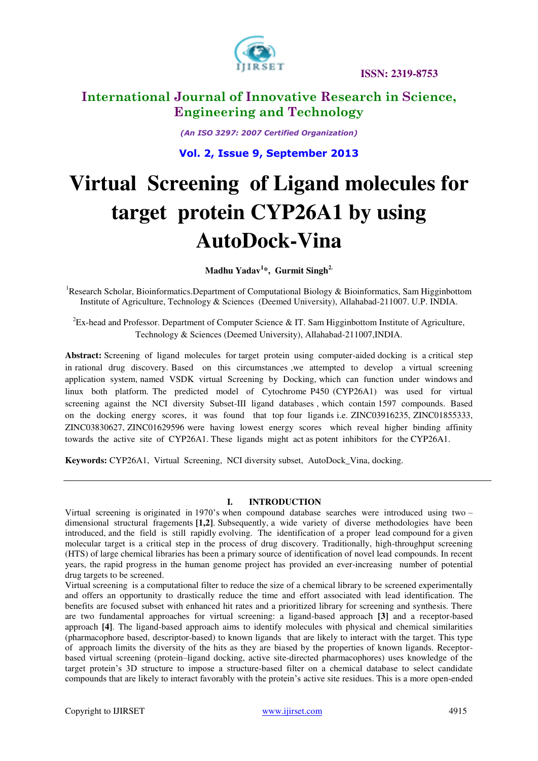

# **International Journal of Innovative Research in Science, Engineering and Technology**

*(An ISO 3297: 2007 Certified Organization)* 

**Vol. 2, Issue 9, September 2013**

# **Virtual Screening of Ligand molecules for target protein CYP26A1 by using AutoDock-Vina**

**Madhu Yadav<sup>1</sup> \*, Gurmit Singh2.** 

<sup>1</sup>Research Scholar, Bioinformatics.Department of Computational Biology & Bioinformatics, Sam Higginbottom Institute of Agriculture, Technology & Sciences (Deemed University), Allahabad-211007. U.P. INDIA.

 ${}^{2}$ Ex-head and Professor. Department of Computer Science & IT. Sam Higginbottom Institute of Agriculture, Technology & Sciences (Deemed University), Allahabad-211007,INDIA.

**Abstract:** Screening of ligand molecules for target protein using computer-aided docking is a critical step in rational drug discovery. Based on this circumstances ,we attempted to develop a virtual screening application system, named VSDK virtual Screening by Docking, which can function under windows and linux both platform. The predicted model of Cytochrome P450 (CYP26A1) was used for virtual screening against the NCI diversity Subset-III ligand databases , which contain 1597 compounds. Based on the docking energy scores, it was found that top four ligands i.e. ZINC03916235, ZINC01855333, ZINC03830627, ZINC01629596 were having lowest energy scores which reveal higher binding affinity towards the active site of CYP26A1. These ligands might act as potent inhibitors for the CYP26A1.

**Keywords:** CYP26A1, Virtual Screening, NCI diversity subset, AutoDock\_Vina, docking.

#### **I. INTRODUCTION**

Virtual screening is originated in 1970's when compound database searches were introduced using two – dimensional structural fragements **[1,2]**. Subsequently, a wide variety of diverse methodologies have been introduced, and the field is still rapidly evolving. The identification of a proper lead compound for a given molecular target is a critical step in the process of drug discovery. Traditionally, high-throughput screening (HTS) of large chemical libraries has been a primary source of identification of novel lead compounds. In recent years, the rapid progress in the human genome project has provided an ever-increasing number of potential drug targets to be screened.

Virtual screening is a computational filter to reduce the size of a chemical library to be screened experimentally and offers an opportunity to drastically reduce the time and effort associated with lead identification. The benefits are focused subset with enhanced hit rates and a prioritized library for screening and synthesis. There are two fundamental approaches for virtual screening: a ligand-based approach **[3]** and a receptor-based approach **[4]**. The ligand-based approach aims to identify molecules with physical and chemical similarities (pharmacophore based, descriptor-based) to known ligands that are likely to interact with the target. This type of approach limits the diversity of the hits as they are biased by the properties of known ligands. Receptorbased virtual screening (protein–ligand docking, active site-directed pharmacophores) uses knowledge of the target protein's 3D structure to impose a structure-based filter on a chemical database to select candidate compounds that are likely to interact favorably with the protein's active site residues. This is a more open-ended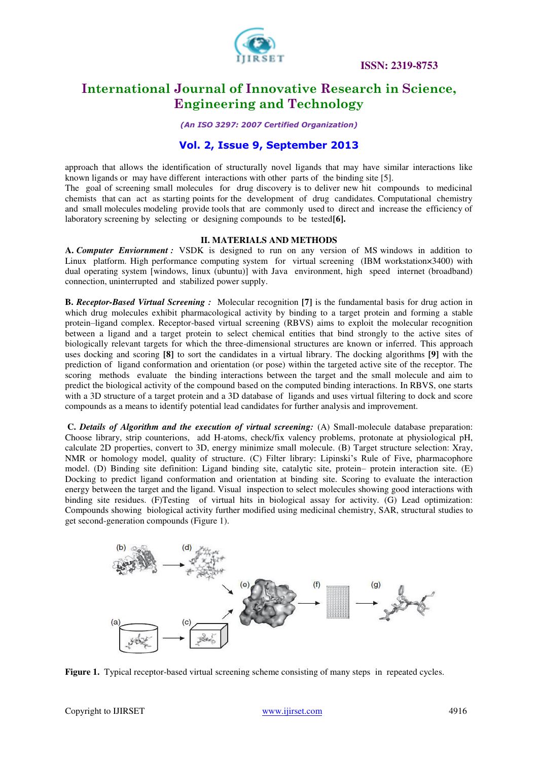

# **International Journal of Innovative Research in Science, Engineering and Technology**

*(An ISO 3297: 2007 Certified Organization)* 

### **Vol. 2, Issue 9, September 2013**

approach that allows the identification of structurally novel ligands that may have similar interactions like known ligands or may have different interactions with other parts of the binding site [5].

The goal of screening small molecules for drug discovery is to deliver new hit compounds to medicinal chemists that can act as starting points for the development of drug candidates. Computational chemistry and small molecules modeling provide tools that are commonly used to direct and increase the efficiency of laboratory screening by selecting or designing compounds to be tested**[6].**

#### **II. MATERIALS AND METHODS**

**A.** *Computer Enviornment :* VSDK is designed to run on any version of MS windows in addition to Linux platform. High performance computing system for virtual screening (IBM workstation×3400) with dual operating system [windows, linux (ubuntu)] with Java environment, high speed internet (broadband) connection, uninterrupted and stabilized power supply.

**B.** *Receptor-Based Virtual Screening :* Molecular recognition **[7]** is the fundamental basis for drug action in which drug molecules exhibit pharmacological activity by binding to a target protein and forming a stable protein–ligand complex. Receptor-based virtual screening (RBVS) aims to exploit the molecular recognition between a ligand and a target protein to select chemical entities that bind strongly to the active sites of biologically relevant targets for which the three-dimensional structures are known or inferred. This approach uses docking and scoring **[8]** to sort the candidates in a virtual library. The docking algorithms **[9]** with the prediction of ligand conformation and orientation (or pose) within the targeted active site of the receptor. The scoring methods evaluate the binding interactions between the target and the small molecule and aim to predict the biological activity of the compound based on the computed binding interactions. In RBVS, one starts with a 3D structure of a target protein and a 3D database of ligands and uses virtual filtering to dock and score compounds as a means to identify potential lead candidates for further analysis and improvement.

 **C.** *Details of Algorithm and the execution of virtual screening:* (A) Small-molecule database preparation: Choose library, strip counterions, add H-atoms, check/fix valency problems, protonate at physiological pH, calculate 2D properties, convert to 3D, energy minimize small molecule. (B) Target structure selection: Xray, NMR or homology model, quality of structure. (C) Filter library: Lipinski's Rule of Five, pharmacophore model. (D) Binding site definition: Ligand binding site, catalytic site, protein– protein interaction site. (E) Docking to predict ligand conformation and orientation at binding site. Scoring to evaluate the interaction energy between the target and the ligand. Visual inspection to select molecules showing good interactions with binding site residues. (F)Testing of virtual hits in biological assay for activity. (G) Lead optimization: Compounds showing biological activity further modified using medicinal chemistry, SAR, structural studies to get second-generation compounds (Figure 1).



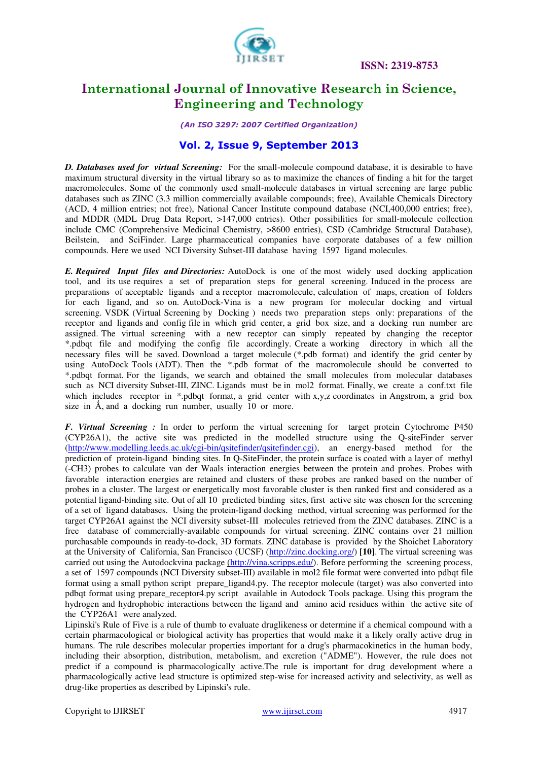

# **International Journal of Innovative Research in Science, Engineering and Technology**

*(An ISO 3297: 2007 Certified Organization)* 

### **Vol. 2, Issue 9, September 2013**

*D. Databases used for virtual Screening:* For the small-molecule compound database, it is desirable to have maximum structural diversity in the virtual library so as to maximize the chances of finding a hit for the target macromolecules. Some of the commonly used small-molecule databases in virtual screening are large public databases such as ZINC (3.3 million commercially available compounds; free), Available Chemicals Directory (ACD, 4 million entries; not free), National Cancer Institute compound database (NCI,400,000 entries; free), and MDDR (MDL Drug Data Report, >147,000 entries). Other possibilities for small-molecule collection include CMC (Comprehensive Medicinal Chemistry, >8600 entries), CSD (Cambridge Structural Database), Beilstein, and SciFinder. Large pharmaceutical companies have corporate databases of a few million compounds. Here we used NCI Diversity Subset-III database having 1597 ligand molecules.

*E. Required Input files and Directories:* AutoDock is one of the most widely used docking application tool, and its use requires a set of preparation steps for general screening. Induced in the process are preparations of acceptable ligands and a receptor macromolecule, calculation of maps, creation of folders for each ligand, and so on. AutoDock-Vina is a new program for molecular docking and virtual screening. VSDK (Virtual Screening by Docking ) needs two preparation steps only: preparations of the receptor and ligands and config file in which grid center, a grid box size, and a docking run number are assigned. The virtual screening with a new receptor can simply repeated by changing the receptor \*.pdbqt file and modifying the config file accordingly. Create a working directory in which all the necessary files will be saved. Download a target molecule (\*.pdb format) and identify the grid center by using AutoDock Tools (ADT). Then the \*.pdb format of the macromolecule should be converted to \*.pdbqt format. For the ligands, we search and obtained the small molecules from molecular databases such as NCI diversity Subset-III, ZINC. Ligands must be in mol2 format. Finally, we create a conf.txt file which includes receptor in \*.pdbqt format, a grid center with x,y,z coordinates in Angstrom, a grid box size in  $\AA$ , and a docking run number, usually 10 or more.

*F. Virtual Screening :* In order to perform the virtual screening for target protein Cytochrome P450 (CYP26A1), the active site was predicted in the modelled structure using the Q-siteFinder server [\(http://www.modelling.leeds.ac.uk/cgi-bin/qsitefinder/qsitefinder.cgi\)](http://www.modelling.leeds.ac.uk/cgi-bin/qsitefinder/qsitefinder.cgi), an energy-based method for the prediction of protein-ligand binding sites. In Q-SiteFinder, the protein surface is coated with a layer of methyl (-CH3) probes to calculate van der Waals interaction energies between the protein and probes. Probes with favorable interaction energies are retained and clusters of these probes are ranked based on the number of probes in a cluster. The largest or energetically most favorable cluster is then ranked first and considered as a potential ligand-binding site. Out of all 10 predicted binding sites, first active site was chosen for the screening of a set of ligand databases. Using the protein-ligand docking method, virtual screening was performed for the target CYP26A1 against the NCI diversity subset-III molecules retrieved from the ZINC databases. ZINC is a free database of commercially-available compounds for virtual screening. ZINC contains over 21 million purchasable compounds in ready-to-dock, 3D formats. ZINC database is provided by the Shoichet Laboratory at the University of California, San Francisco (UCSF) [\(http://zinc.docking.org/\)](http://zinc.docking.org/) **[10]**. The virtual screening was carried out using the Autodockvina package [\(http://vina.scripps.edu/\)](http://vina.scripps.edu/). Before performing the screening process, a set of 1597 compounds (NCI Diversity subset-III) available in mol2 file format were converted into pdbqt file format using a small python script prepare\_ligand4.py. The receptor molecule (target) was also converted into pdbqt format using prepare\_receptor4.py script available in Autodock Tools package. Using this program the hydrogen and hydrophobic interactions between the ligand and amino acid residues within the active site of the CYP26A1 were analyzed.

Lipinski's Rule of Five is a rule of thumb to evaluate druglikeness or determine if a chemical compound with a certain pharmacological or biological activity has properties that would make it a likely orally active drug in humans. The rule describes molecular properties important for a drug's pharmacokinetics in the human body, including their absorption, distribution, metabolism, and excretion ("ADME"). However, the rule does not predict if a compound is pharmacologically active.The rule is important for drug development where a pharmacologically active lead structure is optimized step-wise for increased activity and selectivity, as well as drug-like properties as described by Lipinski's rule.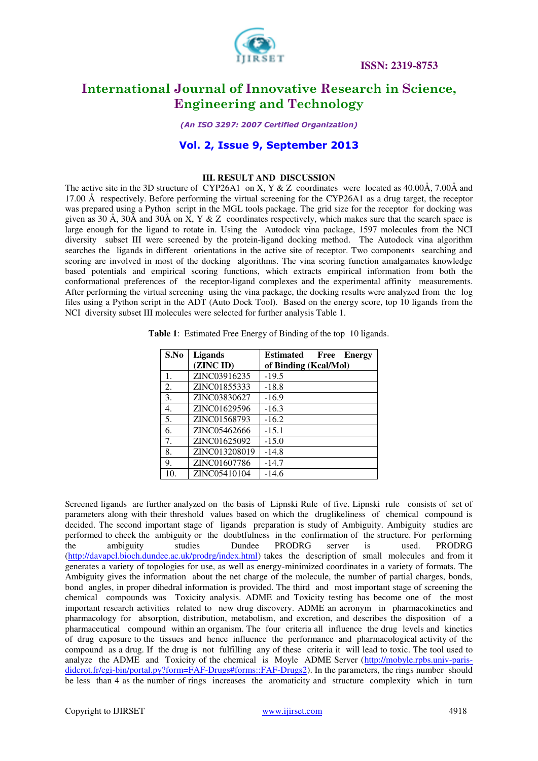

## **International Journal of Innovative Research in Science, Engineering and Technology**

*(An ISO 3297: 2007 Certified Organization)* 

### **Vol. 2, Issue 9, September 2013**

#### **III. RESULT AND DISCUSSION**

The active site in the 3D structure of CYP26A1 on X, Y & Z coordinates were located as  $40.00\text{\AA}$ ,  $7.00\text{\AA}$  and 17.00 Å respectively. Before performing the virtual screening for the CYP26A1 as a drug target, the receptor was prepared using a Python script in the MGL tools package. The grid size for the receptor for docking was given as 30 Å, 30Å and 30Å on X, Y & Z coordinates respectively, which makes sure that the search space is large enough for the ligand to rotate in. Using the Autodock vina package, 1597 molecules from the NCI diversity subset III were screened by the protein-ligand docking method. The Autodock vina algorithm searches the ligands in different orientations in the active site of receptor. Two components searching and scoring are involved in most of the docking algorithms. The vina scoring function amalgamates knowledge based potentials and empirical scoring functions, which extracts empirical information from both the conformational preferences of the receptor-ligand complexes and the experimental affinity measurements. After performing the virtual screening using the vina package, the docking results were analyzed from the log files using a Python script in the ADT (Auto Dock Tool). Based on the energy score, top 10 ligands from the NCI diversity subset III molecules were selected for further analysis Table 1.

| S.No | <b>Ligands</b> | <b>Estimated</b> Free Energy |  |  |  |  |  |
|------|----------------|------------------------------|--|--|--|--|--|
|      | (ZINC ID)      | of Binding (Kcal/Mol)        |  |  |  |  |  |
| 1.   | ZINC03916235   | $-19.5$                      |  |  |  |  |  |
| 2.   | ZINC01855333   | $-18.8$                      |  |  |  |  |  |
| 3.   | ZINC03830627   | $-16.9$                      |  |  |  |  |  |
| 4.   | ZINC01629596   | $-16.3$                      |  |  |  |  |  |
| 5.   | ZINC01568793   | $-16.2$                      |  |  |  |  |  |
| 6.   | ZINC05462666   | $-15.1$                      |  |  |  |  |  |
| 7.   | ZINC01625092   | $-15.0$                      |  |  |  |  |  |
| 8.   | ZINC013208019  | $-14.8$                      |  |  |  |  |  |
| 9.   | ZINC01607786   | $-14.7$                      |  |  |  |  |  |
| 10.  | ZINC05410104   | $-14.6$                      |  |  |  |  |  |

**Table 1**: Estimated Free Energy of Binding of the top 10 ligands.

Screened ligands are further analyzed on the basis of Lipnski Rule of five. Lipnski rule consists of set of parameters along with their threshold values based on which the druglikeliness of chemical compound is decided. The second important stage of ligands preparation is study of Ambiguity. Ambiguity studies are performed to check the ambiguity or the doubtfulness in the confirmation of the structure. For performing the ambiguity studies Dundee PRODRG server is used. PRODRG [\(http://davapcl.bioch.dundee.ac.uk/prodrg/index.html\)](http://davapcl.bioch.dundee.ac.uk/prodrg/index.html) takes the description of small molecules and from it generates a variety of topologies for use, as well as energy-minimized coordinates in a variety of formats. The Ambiguity gives the information about the net charge of the molecule, the number of partial charges, bonds, bond angles, in proper dihedral information is provided. The third and most important stage of screening the chemical compounds was Toxicity analysis. ADME and Toxicity testing has become one of the most important research activities related to new drug discovery. ADME an acronym in pharmacokinetics and pharmacology for absorption, distribution, metabolism, and excretion, and describes the disposition of a pharmaceutical compound within an organism. The four criteria all influence the drug levels and kinetics of drug exposure to the tissues and hence influence the performance and pharmacological activity of the compound as a drug. If the drug is not fulfilling any of these criteria it will lead to toxic. The tool used to analyze the ADME and Toxicity of the chemical is Moyle ADME Server [\(http://mobyle.rpbs.univ-paris](http://mobyle.rpbs.univ-paris-didcrot.fr/cgi-bin/portal.py?form=FAF-Drugs#forms::FAF-Drugs2)[didcrot.fr/cgi-bin/portal.py?form=FAF-Drugs#forms::FAF-Drugs2\)](http://mobyle.rpbs.univ-paris-didcrot.fr/cgi-bin/portal.py?form=FAF-Drugs#forms::FAF-Drugs2). In the parameters, the rings number should be less than 4 as the number of rings increases the aromaticity and structure complexity which in turn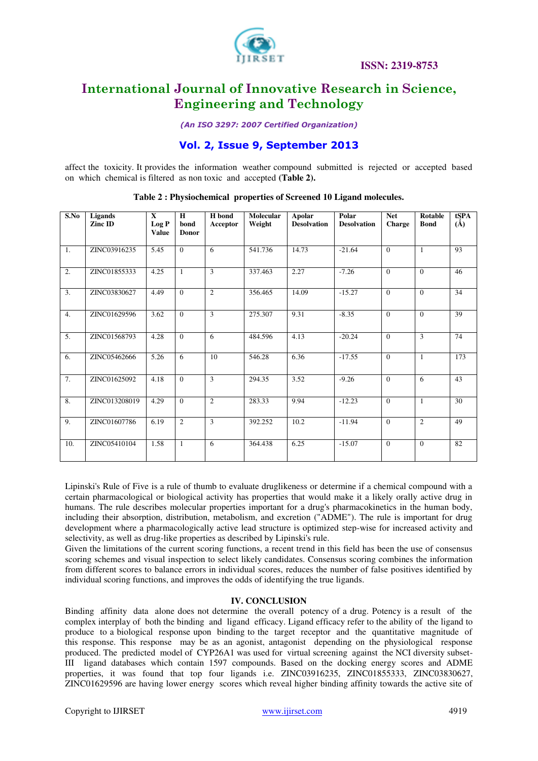

## **International Journal of Innovative Research in Science, Engineering and Technology**

*(An ISO 3297: 2007 Certified Organization)* 

### **Vol. 2, Issue 9, September 2013**

affect the toxicity. It provides the information weather compound submitted is rejected or accepted based on which chemical is filtered as non toxic and accepted **(Table 2).**

| S.No | <b>Ligands</b><br>Zinc ID | $\mathbf{x}$<br>Log P<br><b>Value</b> | H<br>bond<br><b>Donor</b> | H bond<br>Acceptor | <b>Molecular</b><br>Weight | <b>Apolar</b><br><b>Desolvation</b> | Polar<br><b>Desolvation</b> | <b>Net</b><br>Charge | <b>Rotable</b><br><b>Bond</b> | tSPA<br>$(\AA)$ |
|------|---------------------------|---------------------------------------|---------------------------|--------------------|----------------------------|-------------------------------------|-----------------------------|----------------------|-------------------------------|-----------------|
| 1.   | ZINC03916235              | 5.45                                  | $\Omega$                  | 6                  | 541.736                    | 14.73                               | $-21.64$                    | $\Omega$             | $\mathbf{1}$                  | $\overline{93}$ |
| 2.   | ZINC01855333              | 4.25                                  | 1                         | 3                  | 337.463                    | 2.27                                | $-7.26$                     | $\Omega$             | $\Omega$                      | 46              |
| 3.   | ZINC03830627              | 4.49                                  | $\theta$                  | 2                  | 356.465                    | 14.09                               | $-15.27$                    | $\Omega$             | $\Omega$                      | 34              |
| 4.   | ZINC01629596              | 3.62                                  | $\theta$                  | 3                  | 275.307                    | 9.31                                | $-8.35$                     | $\Omega$             | $\Omega$                      | 39              |
| 5.   | ZINC01568793              | 4.28                                  | $\overline{0}$            | 6                  | 484.596                    | 4.13                                | $-20.24$                    | $\Omega$             | 3                             | 74              |
| 6.   | ZINC05462666              | 5.26                                  | 6                         | 10                 | 546.28                     | 6.36                                | $-17.55$                    | $\Omega$             | $\mathbf{1}$                  | 173             |
| 7.   | ZINC01625092              | 4.18                                  | $\theta$                  | 3                  | 294.35                     | 3.52                                | $-9.26$                     | $\Omega$             | 6                             | 43              |
| 8.   | ZINC013208019             | 4.29                                  | $\theta$                  | 2                  | 283.33                     | 9.94                                | $-12.23$                    | $\Omega$             | $\mathbf{1}$                  | 30              |
| 9.   | ZINC01607786              | 6.19                                  | $\overline{2}$            | 3                  | 392.252                    | 10.2                                | $-11.94$                    | $\Omega$             | $\overline{2}$                | 49              |
| 10.  | ZINC05410104              | 1.58                                  | 1                         | 6                  | 364.438                    | 6.25                                | $-15.07$                    | $\Omega$             | $\Omega$                      | 82              |

**Table 2 : Physiochemical properties of Screened 10 Ligand molecules.** 

Lipinski's Rule of Five is a rule of thumb to evaluate druglikeness or determine if a chemical compound with a certain pharmacological or biological activity has properties that would make it a likely orally active drug in humans. The rule describes molecular properties important for a drug's pharmacokinetics in the human body, including their absorption, distribution, metabolism, and excretion ("ADME"). The rule is important for drug development where a pharmacologically active lead structure is optimized step-wise for increased activity and selectivity, as well as drug-like properties as described by Lipinski's rule.

Given the limitations of the current scoring functions, a recent trend in this field has been the use of consensus scoring schemes and visual inspection to select likely candidates. Consensus scoring combines the information from different scores to balance errors in individual scores, reduces the number of false positives identified by individual scoring functions, and improves the odds of identifying the true ligands.

#### **IV. CONCLUSION**

Binding affinity data alone does not determine the overall potency of a drug. Potency is a result of the complex interplay of both the binding and ligand efficacy. Ligand efficacy refer to the ability of the ligand to produce to a biological response upon binding to the target receptor and the quantitative magnitude of this response. This response may be as an agonist, antagonist depending on the physiological response produced. The predicted model of CYP26A1 was used for virtual screening against the NCI diversity subset-III ligand databases which contain 1597 compounds. Based on the docking energy scores and ADME properties, it was found that top four ligands i.e. ZINC03916235, ZINC01855333, ZINC03830627, ZINC01629596 are having lower energy scores which reveal higher binding affinity towards the active site of